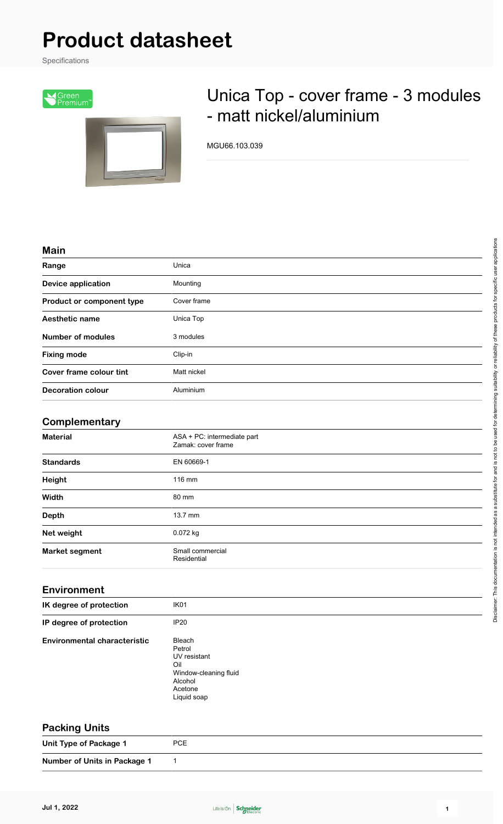# **Product datasheet**

Specifications



# Unica Top - cover frame - 3 modules - matt nickel/aluminium

MGU66.103.039

#### **Main**

| Range                     | Unica       |
|---------------------------|-------------|
| <b>Device application</b> | Mounting    |
| Product or component type | Cover frame |
| Aesthetic name            | Unica Top   |
| <b>Number of modules</b>  | 3 modules   |
| <b>Fixing mode</b>        | Clip-in     |
| Cover frame colour tint   | Matt nickel |
| <b>Decoration colour</b>  | Aluminium   |

# **Complementary**

| <b>Material</b>       | ASA + PC: intermediate part<br>Zamak: cover frame |  |
|-----------------------|---------------------------------------------------|--|
| <b>Standards</b>      | EN 60669-1                                        |  |
| Height                | 116 mm                                            |  |
| Width                 | 80 mm                                             |  |
| <b>Depth</b>          | $13.7$ mm                                         |  |
| Net weight            | $0.072$ kg                                        |  |
| <b>Market segment</b> | Small commercial<br>Residential                   |  |

#### **Environment**

| IK degree of protection             | IK <sub>01</sub>                                                                                      |
|-------------------------------------|-------------------------------------------------------------------------------------------------------|
| IP degree of protection             | <b>IP20</b>                                                                                           |
| <b>Environmental characteristic</b> | Bleach<br>Petrol<br>UV resistant<br>Oil<br>Window-cleaning fluid<br>Alcohol<br>Acetone<br>Liquid soap |

# **Packing Units**

**Unit Type of Package 1** PCE

**Number of Units in Package 1** 1



Disclaimer: This documentation is not intended as a substitute for and is not to be used for determining suitability or reliability of these products for specific user applications

Disclaimer. This documentation is not intended as a substitute for and is not to be used for determining suitability or reliability of these products for specific user applications